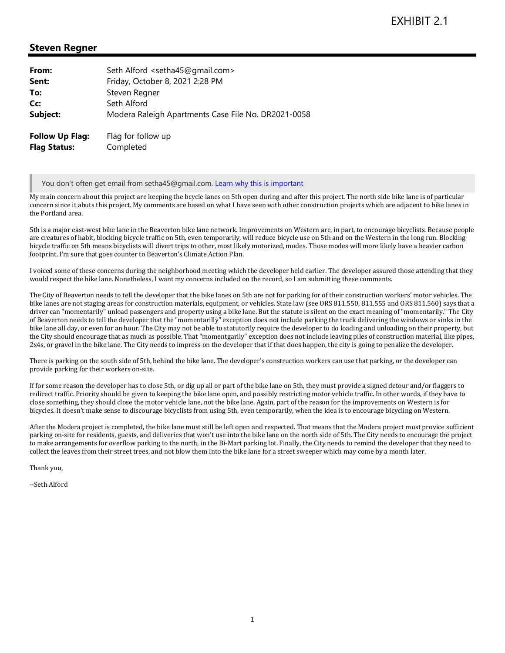## **Steven Regner**

| From:                                         | Seth Alford <setha45@gmail.com></setha45@gmail.com> |
|-----------------------------------------------|-----------------------------------------------------|
| Sent:                                         | Friday, October 8, 2021 2:28 PM                     |
| To:                                           | Steven Regner                                       |
| Cc:                                           | Seth Alford                                         |
| Subject:                                      | Modera Raleigh Apartments Case File No. DR2021-0058 |
| <b>Follow Up Flag:</b><br><b>Flag Status:</b> | Flag for follow up<br>Completed                     |

You don't often get email from setha45@gmail.com. Learn why this is important

My main concern about this project are keeping the bcycle lanes on 5th open during and after this project. The north side bike lane is of particular concern since it abuts this project. My comments are based on what I have seen with other construction projects which are adjacent to bike lanes in the Portland area.

5th is a major east-west bike lane in the Beaverton bike lane network. Improvements on Western are, in part, to encourage bicyclists. Because people are creatures of habit, blocking bicycle traffic on 5th, even temporarily, will reduce bicycle use on 5th and on the Western in the long run. Blocking bicycle traffic on 5th means bicyclists will divert trips to other, most likely motorized, modes. Those modes will more likely have a heavier carbon footprint. I'm sure that goes counter to Beaverton's Climate Action Plan.

I voiced some of these concerns during the neighborhood meeting which the developer held earlier. The developer assured those attending that they would respect the bike lane. Nonetheless, I want my concerns included on the record, so I am submitting these comments.

The City of Beaverton needs to tell the developer that the bike lanes on 5th are not for parking for of their construction workers' motor vehicles. The bike lanes are not staging areas for construction materials, equipment, or vehicles. State law (see ORS 811.550, 811.555 and ORS 811.560) says that a driver can "momentarily" unload passengers and property using a bike lane. But the statute is silent on the exact meaning of "momentarily." The City of Beaverton needs to tell the developer that the "momentarilly" exception does not include parking the truck delivering the windows or sinks in the bike lane all day, or even for an hour. The City may not be able to statutorily require the developer to do loading and unloading on their property, but the City should encourage that as much as possible. That "momentgarily" exception does not include leaving piles of construction material, like pipes, 2x4s, or gravel in the bike lane. The City needs to impress on the developer that if that does happen, the city is going to penalize the developer.

There is parking on the south side of 5th, behind the bike lane. The developer's construction workers can use that parking, or the developer can provide parking for their workers on-site.

If for some reason the developer has to close 5th, or dig up all or part of the bike lane on 5th, they must provide a signed detour and/or flaggers to redirect traffic. Priority should be given to keeping the bike lane open, and possibly restricting motor vehicle traffic. In other words, if they have to close something, they should close the motor vehicle lane, not the bike lane. Again, part of the reason for the improvements on Western is for bicycles. It doesn't make sense to discourage bicyclists from using 5th, even temporarily, when the idea is to encourage bicycling on Western.

After the Modera project is completed, the bike lane must still be left open and respected. That means that the Modera project must provice sufficient parking on-site for residents, guests, and deliveries that won't use into the bike lane on the north side of 5th. The City needs to encourage the project to make arrangements for overflow parking to the north, in the Bi-Mart parking lot. Finally, the City needs to remind the developer that they need to collect the leaves from their street trees, and not blow them into the bike lane for a street sweeper which may come by a month later.

Thank you,

--Seth Alford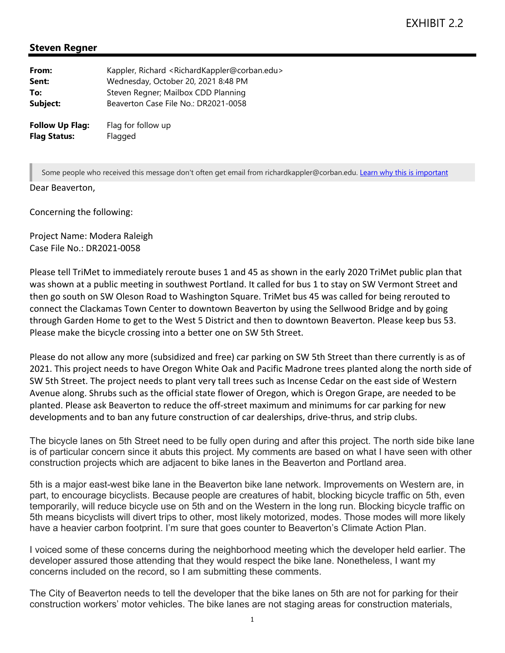## **Steven Regner**

| From:                  | Kappler, Richard <richardkappler@corban.edu><br/>Wednesday, October 20, 2021 8:48 PM</richardkappler@corban.edu> |
|------------------------|------------------------------------------------------------------------------------------------------------------|
| Sent:                  |                                                                                                                  |
| To:                    | Steven Regner; Mailbox CDD Planning                                                                              |
| Subject:               | Beaverton Case File No.: DR2021-0058                                                                             |
| <b>Follow Up Flag:</b> | Flag for follow up                                                                                               |
| <b>Flag Status:</b>    | Flagged                                                                                                          |

Some people who received this message don't often get email from richardkappler@corban.edu. Learn why this is important

## Dear Beaverton,

Concerning the following:

Project Name: Modera Raleigh Case File No.: DR2021‐0058

Please tell TriMet to immediately reroute buses 1 and 45 as shown in the early 2020 TriMet public plan that was shown at a public meeting in southwest Portland. It called for bus 1 to stay on SW Vermont Street and then go south on SW Oleson Road to Washington Square. TriMet bus 45 was called for being rerouted to connect the Clackamas Town Center to downtown Beaverton by using the Sellwood Bridge and by going through Garden Home to get to the West 5 District and then to downtown Beaverton. Please keep bus 53. Please make the bicycle crossing into a better one on SW 5th Street.

Please do not allow any more (subsidized and free) car parking on SW 5th Street than there currently is as of 2021. This project needs to have Oregon White Oak and Pacific Madrone trees planted along the north side of SW 5th Street. The project needs to plant very tall trees such as Incense Cedar on the east side of Western Avenue along. Shrubs such as the official state flower of Oregon, which is Oregon Grape, are needed to be planted. Please ask Beaverton to reduce the off‐street maximum and minimums for car parking for new developments and to ban any future construction of car dealerships, drive-thrus, and strip clubs.

The bicycle lanes on 5th Street need to be fully open during and after this project. The north side bike lane is of particular concern since it abuts this project. My comments are based on what I have seen with other construction projects which are adjacent to bike lanes in the Beaverton and Portland area.

5th is a major east-west bike lane in the Beaverton bike lane network. Improvements on Western are, in part, to encourage bicyclists. Because people are creatures of habit, blocking bicycle traffic on 5th, even temporarily, will reduce bicycle use on 5th and on the Western in the long run. Blocking bicycle traffic on 5th means bicyclists will divert trips to other, most likely motorized, modes. Those modes will more likely have a heavier carbon footprint. I'm sure that goes counter to Beaverton's Climate Action Plan.

I voiced some of these concerns during the neighborhood meeting which the developer held earlier. The developer assured those attending that they would respect the bike lane. Nonetheless, I want my concerns included on the record, so I am submitting these comments.

The City of Beaverton needs to tell the developer that the bike lanes on 5th are not for parking for their construction workers' motor vehicles. The bike lanes are not staging areas for construction materials,

1